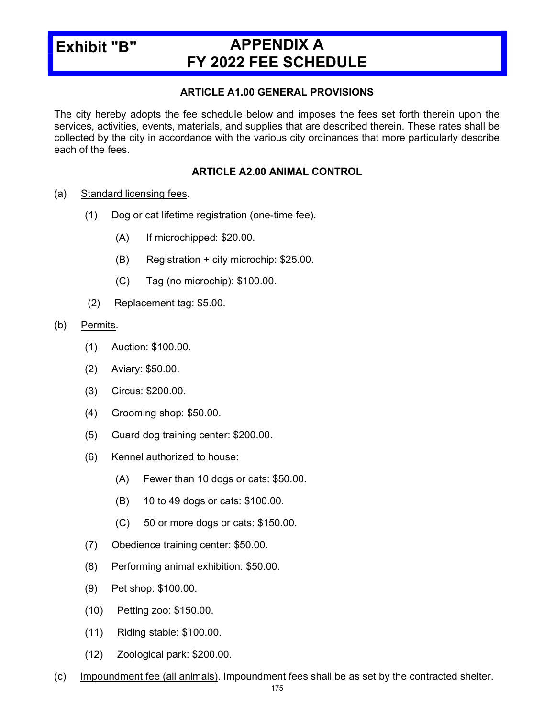# Exhibit "B"

# APPENDIX A FY 2022 FEE SCHEDULE

#### ARTICLE A1.00 GENERAL PROVISIONS

The city hereby adopts the fee schedule below and imposes the fees set forth therein upon the services, activities, events, materials, and supplies that are described therein. These rates shall be collected by the city in accordance with the various city ordinances that more particularly describe each of the fees.

#### ARTICLE A2.00 ANIMAL CONTROL

- (a) Standard licensing fees.
	- (1) Dog or cat lifetime registration (one-time fee).
		- (A) If microchipped: \$20.00.
		- (B) Registration + city microchip: \$25.00.
		- (C) Tag (no microchip): \$100.00.
	- (2) Replacement tag: \$5.00.

#### (b) Permits.

- (1) Auction: \$100.00.
- (2) Aviary: \$50.00.
- (3) Circus: \$200.00.
- (4) Grooming shop: \$50.00.
- (5) Guard dog training center: \$200.00.
- (6) Kennel authorized to house:
	- (A) Fewer than 10 dogs or cats: \$50.00.
	- (B) 10 to 49 dogs or cats: \$100.00.
	- (C) 50 or more dogs or cats: \$150.00.
- (7) Obedience training center: \$50.00.
- (8) Performing animal exhibition: \$50.00.
- (9) Pet shop: \$100.00.
- (10) Petting zoo: \$150.00.
- (11) Riding stable: \$100.00.
- (12) Zoological park: \$200.00.
- (c) Impoundment fee (all animals). Impoundment fees shall be as set by the contracted shelter.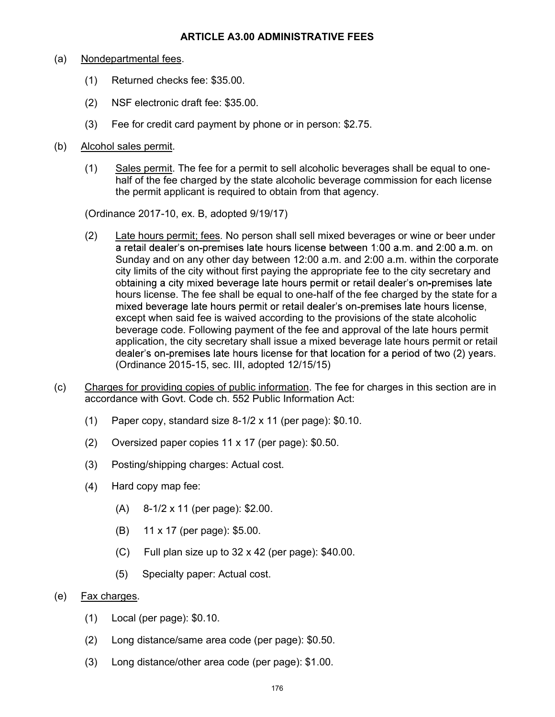#### ARTICLE A3.00 ADMINISTRATIVE FEES

#### (a) Nondepartmental fees.

- (1) Returned checks fee: \$35.00.
- (2) NSF electronic draft fee: \$35.00.
- (3) Fee for credit card payment by phone or in person: \$2.75.
- (b) Alcohol sales permit.
	- (1) Sales permit. The fee for a permit to sell alcoholic beverages shall be equal to onehalf of the fee charged by the state alcoholic beverage commission for each license the permit applicant is required to obtain from that agency.

(Ordinance 2017-10, ex. B, adopted 9/19/17)

- (2) Late hours permit; fees. No person shall sell mixed beverages or wine or beer under a retail dealer's on-premises late hours license between 1:00 a.m. and 2:00 a.m. on Sunday and on any other day between 12:00 a.m. and 2:00 a.m. within the corporate city limits of the city without first paying the appropriate fee to the city secretary and obtaining a city mixed beverage late hours permit or retail dealer's on-premises late hours license. The fee shall be equal to one-half of the fee charged by the state for a mixed beverage late hours permit or retail dealer's on-premises late hours license, except when said fee is waived according to the provisions of the state alcoholic beverage code. Following payment of the fee and approval of the late hours permit application, the city secretary shall issue a mixed beverage late hours permit or retail dealer's on-premises late hours license for that location for a period of two (2) years. (Ordinance 2015-15, sec. III, adopted 12/15/15)
- (c) Charges for providing copies of public information. The fee for charges in this section are in accordance with Govt. Code ch. 552 Public Information Act:
	- (1) Paper copy, standard size 8-1/2 x 11 (per page): \$0.10.
	- (2) Oversized paper copies 11 x 17 (per page): \$0.50.
	- (3) Posting/shipping charges: Actual cost.
	- (4) Hard copy map fee:
		- (A) 8-1/2 x 11 (per page): \$2.00.
		- (B) 11 x 17 (per page): \$5.00.
		- (C) Full plan size up to 32 x 42 (per page): \$40.00.
		- (5) Specialty paper: Actual cost.
- (e) Fax charges.
	- (1) Local (per page): \$0.10.
	- (2) Long distance/same area code (per page): \$0.50.
	- (3) Long distance/other area code (per page): \$1.00.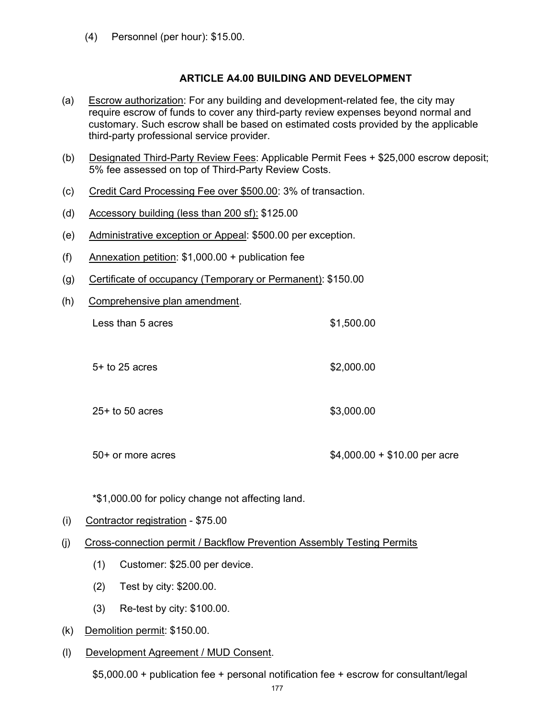(4) Personnel (per hour): \$15.00.

#### ARTICLE A4.00 BUILDING AND DEVELOPMENT

- (a) Escrow authorization: For any building and development-related fee, the city may require escrow of funds to cover any third-party review expenses beyond normal and customary. Such escrow shall be based on estimated costs provided by the applicable third-party professional service provider.
- (b) Designated Third-Party Review Fees: Applicable Permit Fees + \$25,000 escrow deposit; 5% fee assessed on top of Third-Party Review Costs.
- (c) Credit Card Processing Fee over \$500.00: 3% of transaction.
- (d) Accessory building (less than  $200$  sf):  $$125.00$
- (e) Administrative exception or Appeal: \$500.00 per exception.
- (f) Annexation petition: \$1,000.00 + publication fee
- (g) Certificate of occupancy (Temporary or Permanent): \$150.00
- (h) Comprehensive plan amendment.

| Less than 5 acres |  |
|-------------------|--|
|                   |  |

- 5+ to 25 acres \$2,000.00
- 25+ to 50 acres \$3,000.00

50+ or more acres \$4,000.00 + \$10.00 per acre

 $$1,500.00$ 

\*\$1,000.00 for policy change not affecting land.

- (i) Contractor registration \$75.00
- (j) Cross-connection permit / Backflow Prevention Assembly Testing Permits
	- (1) Customer: \$25.00 per device.
	- (2) Test by city: \$200.00.
	- (3) Re-test by city: \$100.00.
- (k) Demolition permit: \$150.00.
- (l) Development Agreement / MUD Consent.

\$5,000.00 + publication fee + personal notification fee + escrow for consultant/legal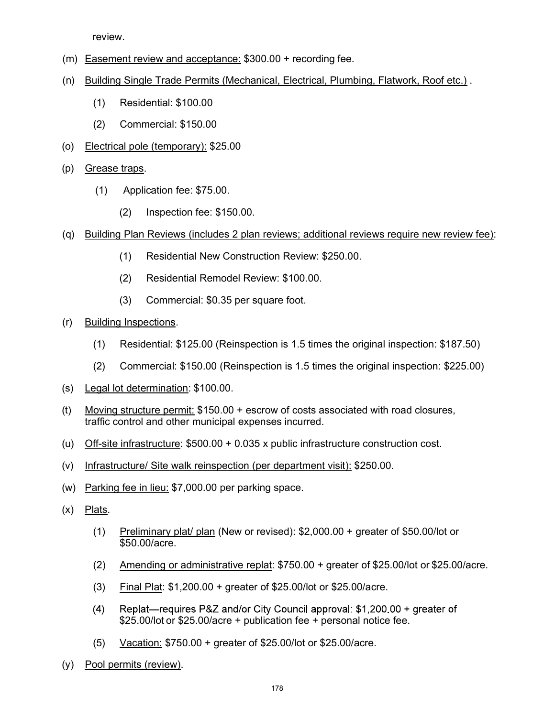review.

- (m) Easement review and acceptance: \$300.00 + recording fee.
- (n) Building Single Trade Permits (Mechanical, Electrical, Plumbing, Flatwork, Roof etc.) .
	- (1) Residential: \$100.00
	- (2) Commercial: \$150.00
- (o) Electrical pole (temporary): \$25.00
- (p) Grease traps.
	- (1) Application fee: \$75.00.
		- (2) Inspection fee: \$150.00.
- (q) Building Plan Reviews (includes 2 plan reviews; additional reviews require new review fee):
	- (1) Residential New Construction Review: \$250.00.
	- (2) Residential Remodel Review: \$100.00.
	- (3) Commercial: \$0.35 per square foot.
- (r) Building Inspections.
	- (1) Residential: \$125.00 (Reinspection is 1.5 times the original inspection: \$187.50)
	- (2) Commercial: \$150.00 (Reinspection is 1.5 times the original inspection: \$225.00)
- (s) Legal lot determination: \$100.00.
- (t) Moving structure permit: \$150.00 + escrow of costs associated with road closures, traffic control and other municipal expenses incurred.
- (u) Off-site infrastructure: \$500.00 + 0.035 x public infrastructure construction cost.
- (v) Infrastructure/ Site walk reinspection (per department visit): \$250.00.
- (w) Parking fee in lieu: \$7,000.00 per parking space.
- (x) Plats.
	- (1) Preliminary plat/ plan (New or revised): \$2,000.00 + greater of \$50.00/lot or \$50.00/acre.
	- (2) Amending or administrative replat: \$750.00 + greater of \$25.00/lot or \$25.00/acre.
	- (3) Final Plat: \$1,200.00 + greater of \$25.00/lot or \$25.00/acre.
	- Replat—requires P&Z and/or City Council approval: \$1,200.00 + greater of  $(4)$ \$25.00/lot or \$25.00/acre + publication fee + personal notice fee.
	- (5) Vacation: \$750.00 + greater of \$25.00/lot or \$25.00/acre.
- (y) Pool permits (review).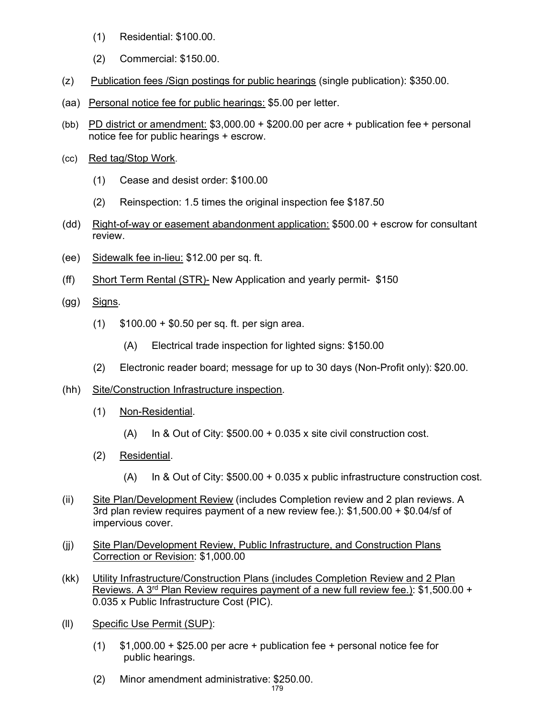- (1) Residential: \$100.00.
- (2) Commercial: \$150.00.
- (z) Publication fees /Sign postings for public hearings (single publication): \$350.00.
- (aa) Personal notice fee for public hearings: \$5.00 per letter.
- (bb) PD district or amendment:  $$3,000.00 + $200.00$  per acre + publication fee + personal notice fee for public hearings + escrow.
- (cc) Red tag/Stop Work.
	- (1) Cease and desist order: \$100.00
	- (2) Reinspection: 1.5 times the original inspection fee \$187.50
- (dd) Right-of-way or easement abandonment application: \$500.00 + escrow for consultant review.
- (ee) Sidewalk fee in-lieu: \$12.00 per sq. ft.
- (ff) Short Term Rental (STR)- New Application and yearly permit- \$150
- (gg) Signs.
	- (1) \$100.00 + \$0.50 per sq. ft. per sign area.
		- (A) Electrical trade inspection for lighted signs: \$150.00
	- (2) Electronic reader board; message for up to 30 days (Non-Profit only): \$20.00.
- (hh) Site/Construction Infrastructure inspection.
	- (1) Non-Residential.
		- (A) In & Out of City:  $$500.00 + 0.035$  x site civil construction cost.
	- (2) Residential.
		- (A) In & Out of City: \$500.00 + 0.035 x public infrastructure construction cost.
- (ii) Site Plan/Development Review (includes Completion review and 2 plan reviews. A 3rd plan review requires payment of a new review fee.): \$1,500.00 + \$0.04/sf of impervious cover.
- (jj) Site Plan/Development Review, Public Infrastructure, and Construction Plans Correction or Revision: \$1,000.00
- (kk) Utility Infrastructure/Construction Plans (includes Completion Review and 2 Plan Reviews. A 3rd Plan Review requires payment of a new full review fee.): \$1,500.00 + 0.035 x Public Infrastructure Cost (PIC).
- (ll) Specific Use Permit (SUP):
	- (1) \$1,000.00 + \$25.00 per acre + publication fee + personal notice fee for public hearings.
	- (2) Minor amendment administrative: \$250.00.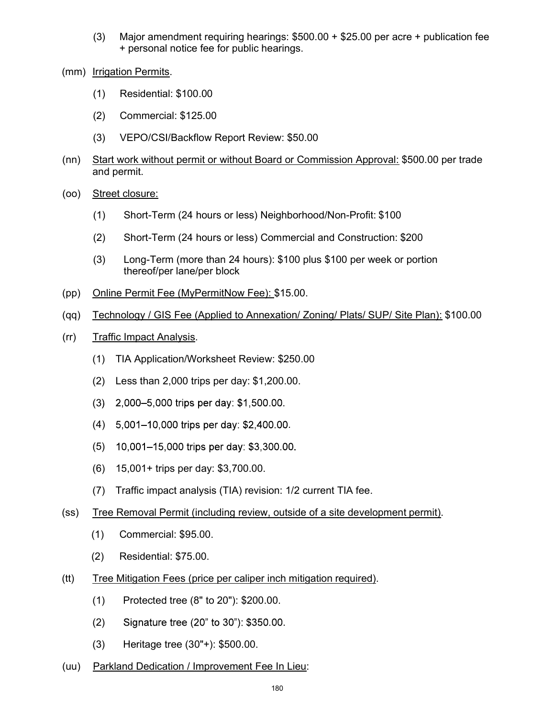- (3) Major amendment requiring hearings: \$500.00 + \$25.00 per acre + publication fee + personal notice fee for public hearings.
- (mm) Irrigation Permits.
	- (1) Residential: \$100.00
	- (2) Commercial: \$125.00
	- (3) VEPO/CSI/Backflow Report Review: \$50.00
- (nn) Start work without permit or without Board or Commission Approval: \$500.00 per trade and permit.
- (oo) Street closure:
	- (1) Short-Term (24 hours or less) Neighborhood/Non-Profit: \$100
	- (2) Short-Term (24 hours or less) Commercial and Construction: \$200
	- (3) Long-Term (more than 24 hours): \$100 plus \$100 per week or portion thereof/per lane/per block
- (pp) Online Permit Fee (MyPermitNow Fee): \$15.00.
- (qq) Technology / GIS Fee (Applied to Annexation/ Zoning/ Plats/ SUP/ Site Plan): \$100.00
- (rr) Traffic Impact Analysis.
	- (1) TIA Application/Worksheet Review: \$250.00
	- (2) Less than 2,000 trips per day: \$1,200.00.
	- (3) 2,000-5,000 trips per day: \$1,500.00.
	- (4) 5,001-10,000 trips per day: \$2,400.00.
	- (5) 10,001–15,000 trips per day: \$3,300.00.
	- (6) 15,001+ trips per day: \$3,700.00.
	- (7) Traffic impact analysis (TIA) revision: 1/2 current TIA fee.
- (ss) Tree Removal Permit (including review, outside of a site development permit).
	- (1) Commercial: \$95.00.
	- (2) Residential: \$75.00.
- (tt) Tree Mitigation Fees (price per caliper inch mitigation required).
	- (1) Protected tree (8" to 20"): \$200.00.
	- (2) Signature tree (20" to 30"): \$350.00.
	- (3) Heritage tree (30"+): \$500.00.
- (uu) Parkland Dedication / Improvement Fee In Lieu: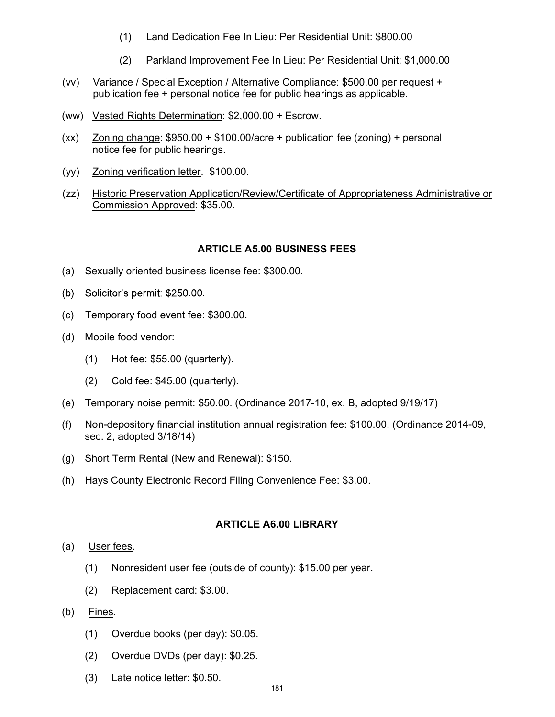- (1) Land Dedication Fee In Lieu: Per Residential Unit: \$800.00
- (2) Parkland Improvement Fee In Lieu: Per Residential Unit: \$1,000.00
- (vv) Variance / Special Exception / Alternative Compliance: \$500.00 per request + publication fee + personal notice fee for public hearings as applicable.
- (ww) Vested Rights Determination: \$2,000.00 + Escrow.
- (xx)  $Zoning change: $950.00 + $100.00/acre + publication fee (zoning) + personal$ notice fee for public hearings.
- (yy) Zoning verification letter. \$100.00.
- (zz) Historic Preservation Application/Review/Certificate of Appropriateness Administrative or Commission Approved: \$35.00.

#### ARTICLE A5.00 BUSINESS FEES

- (a) Sexually oriented business license fee: \$300.00.
- (b) Solicitor's permit: \$250.00.
- (c) Temporary food event fee: \$300.00.
- (d) Mobile food vendor:
	- (1) Hot fee: \$55.00 (quarterly).
	- (2) Cold fee: \$45.00 (quarterly).
- (e) Temporary noise permit: \$50.00. (Ordinance 2017-10, ex. B, adopted 9/19/17)
- (f) Non-depository financial institution annual registration fee: \$100.00. (Ordinance 2014-09, sec. 2, adopted 3/18/14)
- (g) Short Term Rental (New and Renewal): \$150.
- (h) Hays County Electronic Record Filing Convenience Fee: \$3.00.

#### ARTICLE A6.00 LIBRARY

- (a) User fees.
	- (1) Nonresident user fee (outside of county): \$15.00 per year.
	- (2) Replacement card: \$3.00.
- (b) Fines.
	- (1) Overdue books (per day): \$0.05.
	- (2) Overdue DVDs (per day): \$0.25.
	- (3) Late notice letter: \$0.50.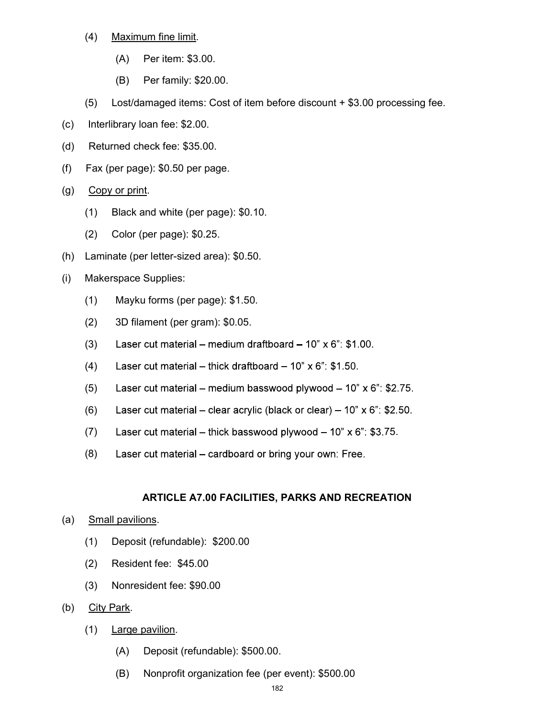- (4) Maximum fine limit.
	- (A) Per item: \$3.00.
	- (B) Per family: \$20.00.
- (5) Lost/damaged items: Cost of item before discount + \$3.00 processing fee.
- (c) Interlibrary loan fee: \$2.00.
- (d) Returned check fee: \$35.00.
- (f) Fax (per page): \$0.50 per page.
- (g) Copy or print.
	- (1) Black and white (per page): \$0.10.
	- (2) Color (per page): \$0.25.
- (h) Laminate (per letter-sized area): \$0.50.
- (i) Makerspace Supplies:
	- (1) Mayku forms (per page): \$1.50.
	- (2) 3D filament (per gram): \$0.05.
	- (3) Laser cut material medium draftboard  $10" \times 6"$ : \$1.00.
	- (4) Laser cut material thick draftboard  $10$ " x 6": \$1.50.
	- (5) Laser cut material – medium basswood plywood –  $10" \times 6"$ : \$2.75.
	- (6) Laser cut material clear acrylic (black or clear)  $10$ " x 6": \$2.50.
	- (7) Laser cut material thick basswood plywood  $10" \times 6"$ : \$3.75.
	- (8) Laser cut material – cardboard or bring your own: Free.

# ARTICLE A7.00 FACILITIES, PARKS AND RECREATION

- (a) Small pavilions.
	- (1) Deposit (refundable): \$200.00
	- (2) Resident fee: \$45.00
	- (3) Nonresident fee: \$90.00
- (b) City Park.
	- (1) Large pavilion.
		- (A) Deposit (refundable): \$500.00.
		- (B) Nonprofit organization fee (per event): \$500.00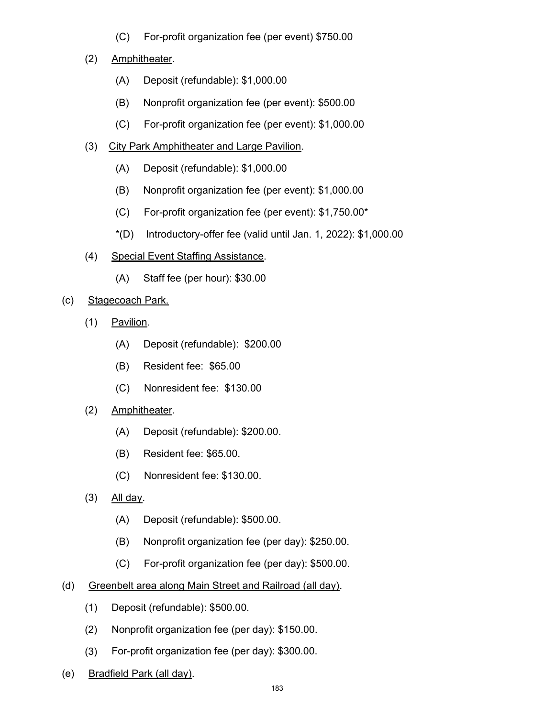(C) For-profit organization fee (per event) \$750.00

# (2) Amphitheater.

- (A) Deposit (refundable): \$1,000.00
- (B) Nonprofit organization fee (per event): \$500.00
- (C) For-profit organization fee (per event): \$1,000.00
- (3) City Park Amphitheater and Large Pavilion.
	- (A) Deposit (refundable): \$1,000.00
	- (B) Nonprofit organization fee (per event): \$1,000.00
	- (C) For-profit organization fee (per event): \$1,750.00\*
	- $*(D)$  Introductory-offer fee (valid until Jan. 1, 2022): \$1,000.00
- (4) Special Event Staffing Assistance.
	- (A) Staff fee (per hour): \$30.00

## (c) Stagecoach Park.

- (1) Pavilion.
	- (A) Deposit (refundable): \$200.00
	- (B) Resident fee: \$65.00
	- (C) Nonresident fee: \$130.00
- (2) Amphitheater.
	- (A) Deposit (refundable): \$200.00.
	- (B) Resident fee: \$65.00.
	- (C) Nonresident fee: \$130.00.
- $(3)$  All day.
	- (A) Deposit (refundable): \$500.00.
	- (B) Nonprofit organization fee (per day): \$250.00.
	- (C) For-profit organization fee (per day): \$500.00.
- (d) Greenbelt area along Main Street and Railroad (all day).
	- (1) Deposit (refundable): \$500.00.
	- (2) Nonprofit organization fee (per day): \$150.00.
	- (3) For-profit organization fee (per day): \$300.00.
- (e) Bradfield Park (all day).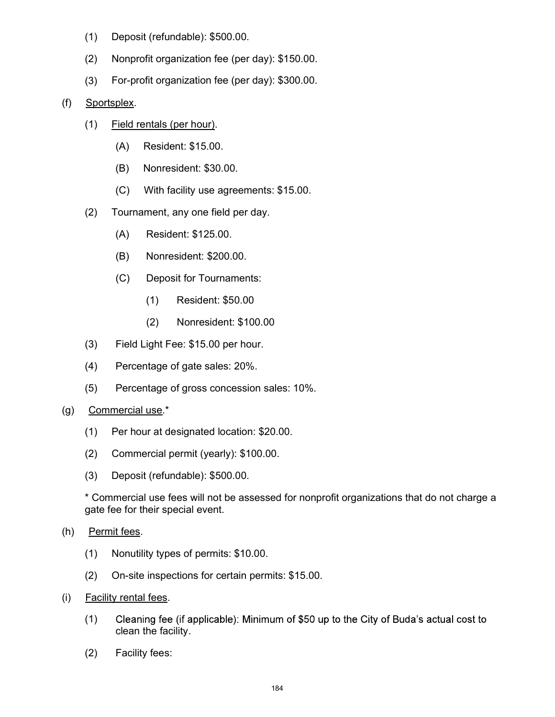- (1) Deposit (refundable): \$500.00.
- (2) Nonprofit organization fee (per day): \$150.00.
- (3) For-profit organization fee (per day): \$300.00.
- (f) Sportsplex.
	- (1) Field rentals (per hour).
		- (A) Resident: \$15.00.
		- (B) Nonresident: \$30.00.
		- (C) With facility use agreements: \$15.00.
	- (2) Tournament, any one field per day.
		- (A) Resident: \$125.00.
		- (B) Nonresident: \$200.00.
		- (C) Deposit for Tournaments:
			- (1) Resident: \$50.00
			- (2) Nonresident: \$100.00
	- (3) Field Light Fee: \$15.00 per hour.
	- (4) Percentage of gate sales: 20%.
	- (5) Percentage of gross concession sales: 10%.
- (g) Commercial use.\*
	- (1) Per hour at designated location: \$20.00.
	- (2) Commercial permit (yearly): \$100.00.
	- (3) Deposit (refundable): \$500.00.

\* Commercial use fees will not be assessed for nonprofit organizations that do not charge a gate fee for their special event.

- (h) Permit fees.
	- (1) Nonutility types of permits: \$10.00.
	- (2) On-site inspections for certain permits: \$15.00.
- (i) Facility rental fees.
	- Cleaning fee (if applicable): Minimum of \$50 up to the City of Buda's actual cost to (1) clean the facility.
	- (2) Facility fees: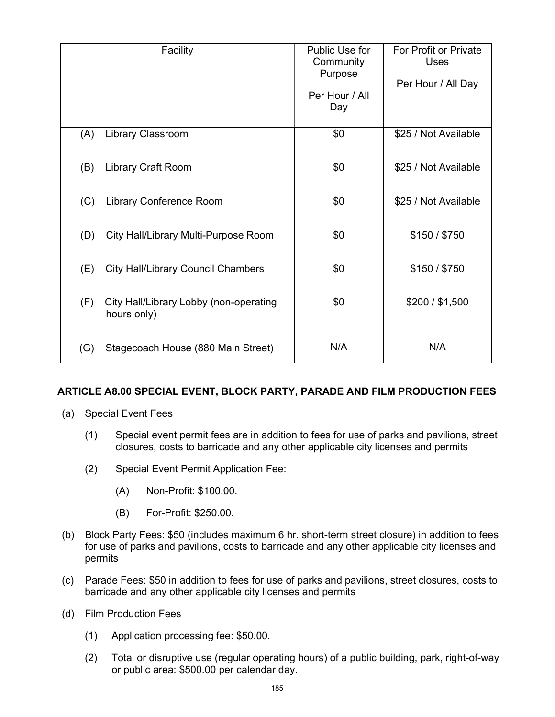|     | Facility                                              | Public Use for<br>Community<br>Purpose<br>Per Hour / All<br>Day | For Profit or Private<br><b>Uses</b><br>Per Hour / All Day |
|-----|-------------------------------------------------------|-----------------------------------------------------------------|------------------------------------------------------------|
| (A) | <b>Library Classroom</b>                              | \$0                                                             | \$25 / Not Available                                       |
| (B) | <b>Library Craft Room</b>                             | \$0                                                             | \$25 / Not Available                                       |
| (C) | Library Conference Room                               | \$0                                                             | \$25 / Not Available                                       |
| (D) | City Hall/Library Multi-Purpose Room                  | \$0                                                             | \$150 / \$750                                              |
| (E) | <b>City Hall/Library Council Chambers</b>             | \$0                                                             | \$150 / \$750                                              |
| (F) | City Hall/Library Lobby (non-operating<br>hours only) | \$0                                                             | \$200 / \$1,500                                            |
| (G) | Stagecoach House (880 Main Street)                    | N/A                                                             | N/A                                                        |

## ARTICLE A8.00 SPECIAL EVENT, BLOCK PARTY, PARADE AND FILM PRODUCTION FEES

- (a) Special Event Fees
	- (1) Special event permit fees are in addition to fees for use of parks and pavilions, street closures, costs to barricade and any other applicable city licenses and permits
	- (2) Special Event Permit Application Fee:
		- (A) Non-Profit: \$100.00.
		- (B) For-Profit: \$250.00.
- (b) Block Party Fees: \$50 (includes maximum 6 hr. short-term street closure) in addition to fees for use of parks and pavilions, costs to barricade and any other applicable city licenses and permits
- (c) Parade Fees: \$50 in addition to fees for use of parks and pavilions, street closures, costs to barricade and any other applicable city licenses and permits
- (d) Film Production Fees
	- (1) Application processing fee: \$50.00.
	- (2) Total or disruptive use (regular operating hours) of a public building, park, right-of-way or public area: \$500.00 per calendar day.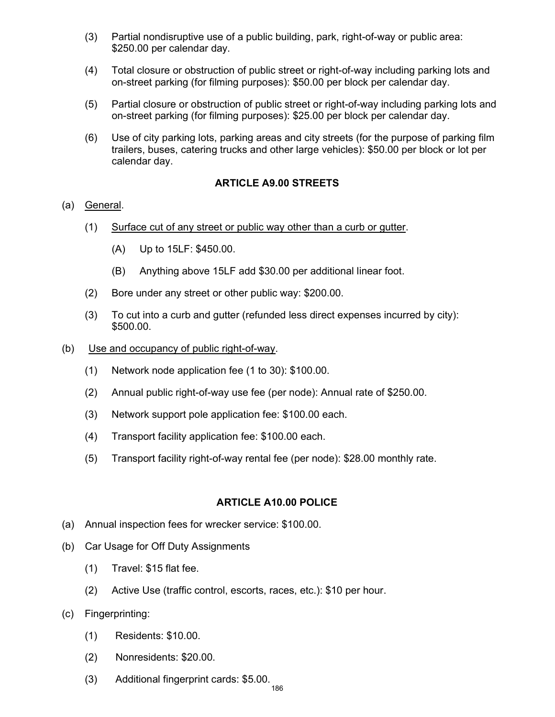- (3) Partial nondisruptive use of a public building, park, right-of-way or public area: \$250.00 per calendar day.
- (4) Total closure or obstruction of public street or right-of-way including parking lots and on-street parking (for filming purposes): \$50.00 per block per calendar day.
- (5) Partial closure or obstruction of public street or right-of-way including parking lots and on-street parking (for filming purposes): \$25.00 per block per calendar day.
- (6) Use of city parking lots, parking areas and city streets (for the purpose of parking film trailers, buses, catering trucks and other large vehicles): \$50.00 per block or lot per calendar day.

### ARTICLE A9.00 STREETS

#### (a) General.

- (1) Surface cut of any street or public way other than a curb or gutter.
	- (A) Up to 15LF: \$450.00.
	- (B) Anything above 15LF add \$30.00 per additional linear foot.
- (2) Bore under any street or other public way: \$200.00.
- (3) To cut into a curb and gutter (refunded less direct expenses incurred by city): \$500.00.
- (b) Use and occupancy of public right-of-way.
	- (1) Network node application fee (1 to 30): \$100.00.
	- (2) Annual public right-of-way use fee (per node): Annual rate of \$250.00.
	- (3) Network support pole application fee: \$100.00 each.
	- (4) Transport facility application fee: \$100.00 each.
	- (5) Transport facility right-of-way rental fee (per node): \$28.00 monthly rate.

#### ARTICLE A10.00 POLICE

- (a) Annual inspection fees for wrecker service: \$100.00.
- (b) Car Usage for Off Duty Assignments
	- (1) Travel: \$15 flat fee.
	- (2) Active Use (traffic control, escorts, races, etc.): \$10 per hour.
- (c) Fingerprinting:
	- (1) Residents: \$10.00.
	- (2) Nonresidents: \$20.00.
	- (3) Additional fingerprint cards: \$5.00.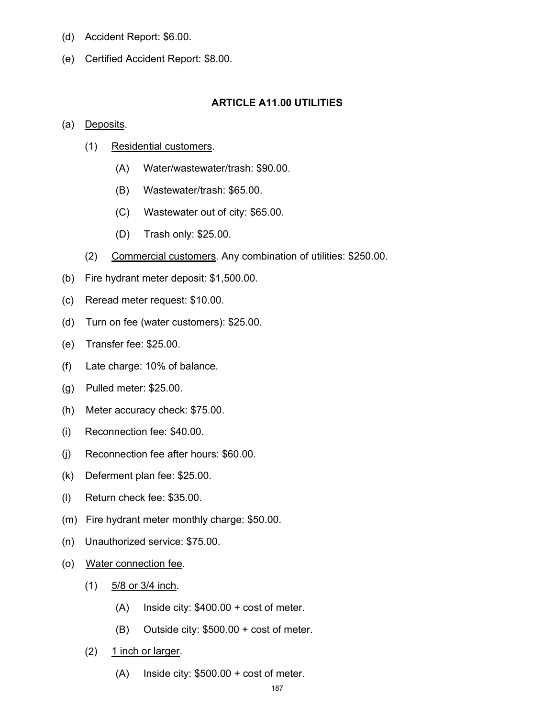- (d) Accident Report: \$6.00.
- (e) Certified Accident Report: \$8.00.

#### ARTICLE A11.00 UTILITIES

#### (a) Deposits.

- (1) Residential customers.
	- (A) Water/wastewater/trash: \$90.00.
	- (B) Wastewater/trash: \$65.00.
	- (C) Wastewater out of city: \$65.00.
	- (D) Trash only: \$25.00.
- (2) Commercial customers. Any combination of utilities: \$250.00.
- (b) Fire hydrant meter deposit: \$1,500.00.
- (c) Reread meter request: \$10.00.
- (d) Turn on fee (water customers): \$25.00.
- (e) Transfer fee: \$25.00.
- (f) Late charge: 10% of balance.
- (g) Pulled meter: \$25.00.
- (h) Meter accuracy check: \$75.00.
- (i) Reconnection fee: \$40.00.
- (j) Reconnection fee after hours: \$60.00.
- (k) Deferment plan fee: \$25.00.
- (l) Return check fee: \$35.00.
- (m) Fire hydrant meter monthly charge: \$50.00.
- (n) Unauthorized service: \$75.00.
- (o) Water connection fee.
	- $(1)$  5/8 or 3/4 inch.
		- (A) Inside city: \$400.00 + cost of meter.
		- (B) Outside city: \$500.00 + cost of meter.
	- $(2)$  1 inch or larger.
		- (A) Inside city: \$500.00 + cost of meter.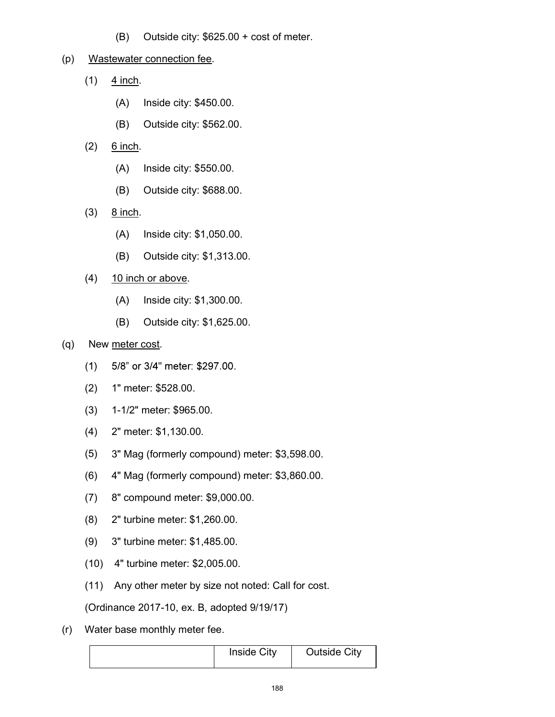(B) Outside city: \$625.00 + cost of meter.

### (p) Wastewater connection fee.

- $(1)$  4 inch.
	- (A) Inside city: \$450.00.
	- (B) Outside city: \$562.00.
- $(2)$  6 inch.
	- (A) Inside city: \$550.00.
	- (B) Outside city: \$688.00.
- $(3)$  8 inch.
	- (A) Inside city: \$1,050.00.
	- (B) Outside city: \$1,313.00.
- $(4)$  10 inch or above.
	- (A) Inside city: \$1,300.00.
	- (B) Outside city: \$1,625.00.

## (q) New meter cost.

- 5/8" or 3/4" meter: \$297.00.  $(1)$
- (2) 1" meter: \$528.00.
- (3) 1-1/2" meter: \$965.00.
- (4) 2" meter: \$1,130.00.
- (5) 3" Mag (formerly compound) meter: \$3,598.00.
- (6) 4" Mag (formerly compound) meter: \$3,860.00.
- (7) 8" compound meter: \$9,000.00.
- (8) 2" turbine meter: \$1,260.00.
- (9) 3" turbine meter: \$1,485.00.
- (10) 4" turbine meter: \$2,005.00.
- (11) Any other meter by size not noted: Call for cost.

(Ordinance 2017-10, ex. B, adopted 9/19/17)

(r) Water base monthly meter fee.

| <b>Inside City</b> | <b>Outside City</b> |
|--------------------|---------------------|
|--------------------|---------------------|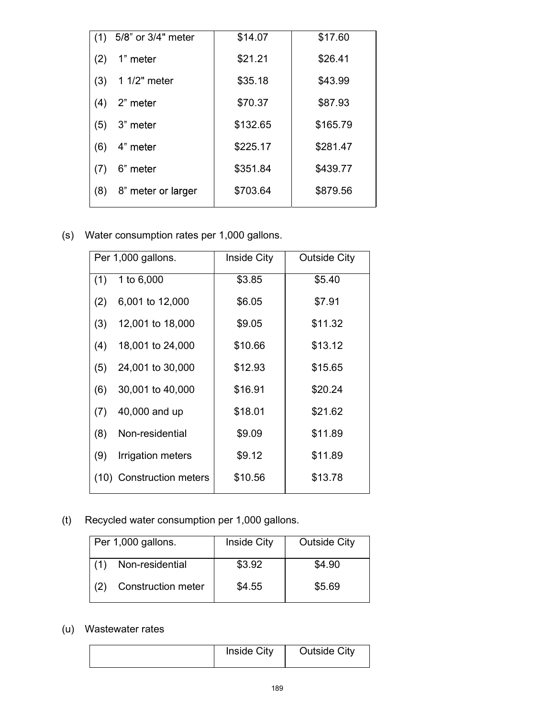| (1) | 5/8" or 3/4" meter | \$14.07  | \$17.60  |
|-----|--------------------|----------|----------|
| (2) | 1" meter           | \$21.21  | \$26.41  |
| (3) | 1 1/2" meter       | \$35.18  | \$43.99  |
| (4) | 2" meter           | \$70.37  | \$87.93  |
| (5) | 3" meter           | \$132.65 | \$165.79 |
| (6) | 4" meter           | \$225.17 | \$281.47 |
| (7) | 6" meter           | \$351.84 | \$439.77 |
| (8) | 8" meter or larger | \$703.64 | \$879.56 |
|     |                    |          |          |

(s) Water consumption rates per 1,000 gallons.

|     | Per 1,000 gallons.       | <b>Inside City</b> | <b>Outside City</b> |
|-----|--------------------------|--------------------|---------------------|
| (1) | 1 to 6,000               | \$3.85             | \$5.40              |
| (2) | 6,001 to 12,000          | \$6.05             | \$7.91              |
| (3) | 12,001 to 18,000         | \$9.05             | \$11.32             |
| (4) | 18,001 to 24,000         | \$10.66            | \$13.12             |
| (5) | 24,001 to 30,000         | \$12.93            | \$15.65             |
| (6) | 30,001 to 40,000         | \$16.91            | \$20.24             |
| (7) | 40,000 and up            | \$18.01            | \$21.62             |
| (8) | Non-residential          | \$9.09             | \$11.89             |
| (9) | Irrigation meters        | \$9.12             | \$11.89             |
|     | (10) Construction meters | \$10.56            | \$13.78             |

(t) Recycled water consumption per 1,000 gallons.

|     | Per 1,000 gallons.        | Inside City | <b>Outside City</b> |
|-----|---------------------------|-------------|---------------------|
|     | Non-residential           | \$3.92      | \$4.90              |
| (2) | <b>Construction meter</b> | \$4.55      | \$5.69              |

# (u) Wastewater rates

| Inside City | <b>Outside City</b> |
|-------------|---------------------|
|             |                     |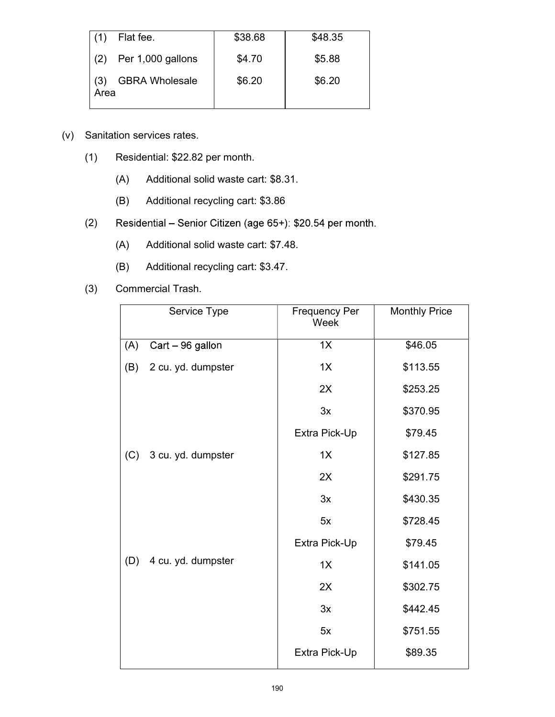| Flat fee.                            | \$38.68 | \$48.35 |
|--------------------------------------|---------|---------|
| $(2)$ Per 1,000 gallons              | \$4.70  | \$5.88  |
| <b>GBRA Wholesale</b><br>(3)<br>Area | \$6.20  | \$6.20  |

- (v) Sanitation services rates.
	- (1) Residential: \$22.82 per month.
		- (A) Additional solid waste cart: \$8.31.
		- (B) Additional recycling cart: \$3.86
	- Residential Senior Citizen (age 65+): \$20.54 per month. (2)
		- (A) Additional solid waste cart: \$7.48.
		- (B) Additional recycling cart: \$3.47.
	- (3) Commercial Trash.

|     | Service Type       | <b>Frequency Per</b><br>Week | <b>Monthly Price</b> |
|-----|--------------------|------------------------------|----------------------|
| (A) | Cart - 96 gallon   | 1X                           | \$46.05              |
| (B) | 2 cu. yd. dumpster | 1X                           | \$113.55             |
|     |                    | 2X                           | \$253.25             |
|     |                    | 3x                           | \$370.95             |
|     |                    | Extra Pick-Up                | \$79.45              |
| (C) | 3 cu. yd. dumpster | 1X                           | \$127.85             |
|     |                    | 2X                           | \$291.75             |
|     |                    | 3x                           | \$430.35             |
|     |                    | 5x                           | \$728.45             |
|     |                    | Extra Pick-Up                | \$79.45              |
| (D) | 4 cu. yd. dumpster | 1X                           | \$141.05             |
|     |                    | 2X                           | \$302.75             |
|     |                    | 3x                           | \$442.45             |
|     |                    | 5x                           | \$751.55             |
|     |                    | Extra Pick-Up                | \$89.35              |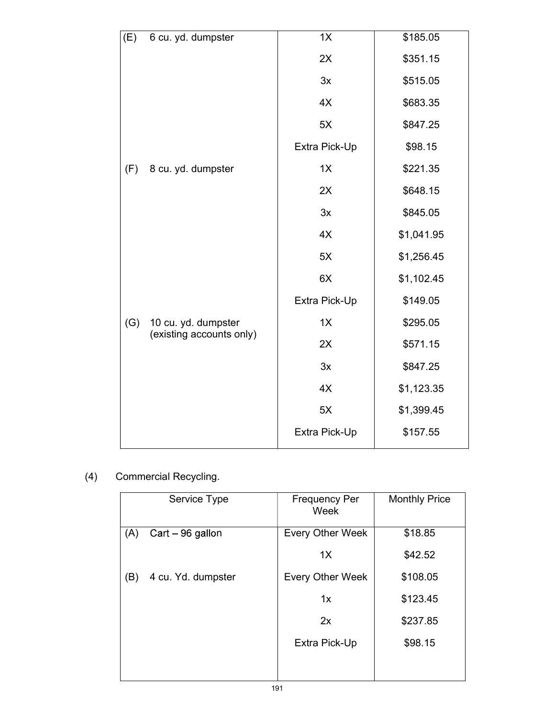| (E) | 6 cu. yd. dumpster       | 1X            | \$185.05   |
|-----|--------------------------|---------------|------------|
|     |                          | 2X            | \$351.15   |
|     |                          | 3x            | \$515.05   |
|     |                          | 4X            | \$683.35   |
|     |                          | 5X            | \$847.25   |
|     |                          | Extra Pick-Up | \$98.15    |
| (F) | 8 cu. yd. dumpster       | 1X            | \$221.35   |
|     |                          | 2X            | \$648.15   |
|     |                          | 3x            | \$845.05   |
|     |                          | 4X            | \$1,041.95 |
|     |                          | 5X            | \$1,256.45 |
|     |                          | 6X            | \$1,102.45 |
|     |                          | Extra Pick-Up | \$149.05   |
| (G) | 10 cu. yd. dumpster      | 1X            | \$295.05   |
|     | (existing accounts only) | 2X            | \$571.15   |
|     |                          | 3x            | \$847.25   |
|     |                          | 4X            | \$1,123.35 |
|     |                          | 5X            | \$1,399.45 |
|     |                          | Extra Pick-Up | \$157.55   |

# (4) Commercial Recycling.

|     | Service Type       | <b>Frequency Per</b><br>Week | <b>Monthly Price</b> |
|-----|--------------------|------------------------------|----------------------|
| (A) | Cart - 96 gallon   | <b>Every Other Week</b>      | \$18.85              |
|     |                    | 1X                           | \$42.52              |
| (B) | 4 cu. Yd. dumpster | <b>Every Other Week</b>      | \$108.05             |
|     |                    | 1x                           | \$123.45             |
|     |                    | 2x                           | \$237.85             |
|     |                    | Extra Pick-Up                | \$98.15              |
|     |                    |                              |                      |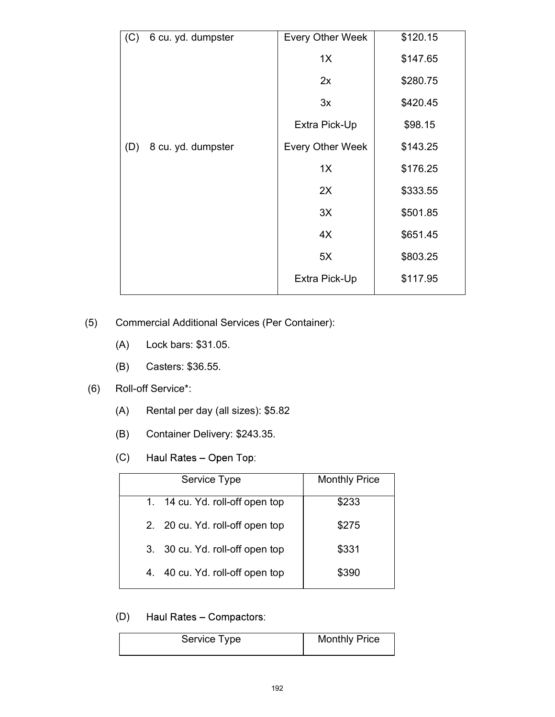| (C) | 6 cu. yd. dumpster | <b>Every Other Week</b> | \$120.15 |
|-----|--------------------|-------------------------|----------|
|     |                    | 1X                      | \$147.65 |
|     |                    | 2x                      | \$280.75 |
|     |                    | 3x                      | \$420.45 |
|     |                    | Extra Pick-Up           | \$98.15  |
| (D) | 8 cu. yd. dumpster | <b>Every Other Week</b> | \$143.25 |
|     |                    | 1X                      | \$176.25 |
|     |                    | 2X                      | \$333.55 |
|     |                    | 3X                      | \$501.85 |
|     |                    | 4X                      | \$651.45 |
|     |                    | 5X                      | \$803.25 |
|     |                    | Extra Pick-Up           | \$117.95 |

(5) Commercial Additional Services (Per Container):

- (A) Lock bars: \$31.05.
- (B) Casters: \$36.55.

## (6) Roll-off Service\*:

- (A) Rental per day (all sizes): \$5.82
- (B) Container Delivery: \$243.35.
- (C) Haul Rates - Open Top:

| Service Type                    | <b>Monthly Price</b> |  |
|---------------------------------|----------------------|--|
| 1. 14 cu. Yd. roll-off open top | \$233                |  |
| 2. 20 cu. Yd. roll-off open top | \$275                |  |
| 3. 30 cu. Yd. roll-off open top | \$331                |  |
| 4. 40 cu. Yd. roll-off open top | \$390                |  |
|                                 |                      |  |

#### Haul Rates - Compactors: (D)

| Service Type | <b>Monthly Price</b> |
|--------------|----------------------|
|--------------|----------------------|